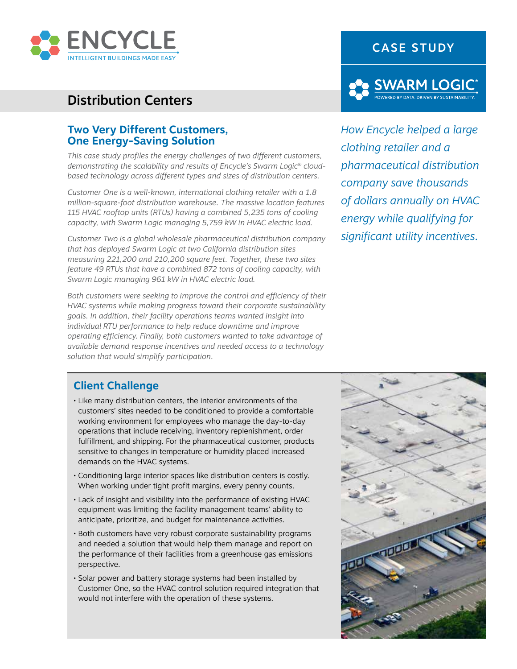

# Distribution Centers

### **Two Very Different Customers, One Energy-Saving Solution**

*This case study profiles the energy challenges of two different customers, demonstrating the scalability and results of Encycle's Swarm Logic® cloudbased technology across different types and sizes of distribution centers.* 

*Customer One is a well-known, international clothing retailer with a 1.8 million-square-foot distribution warehouse. The massive location features 115 HVAC rooftop units (RTUs) having a combined 5,235 tons of cooling capacity, with Swarm Logic managing 5,759 kW in HVAC electric load.* 

*Customer Two is a global wholesale pharmaceutical distribution company that has deployed Swarm Logic at two California distribution sites measuring 221,200 and 210,200 square feet. Together, these two sites feature 49 RTUs that have a combined 872 tons of cooling capacity, with Swarm Logic managing 961 kW in HVAC electric load.* 

*Both customers were seeking to improve the control and efficiency of their HVAC systems while making progress toward their corporate sustainability goals. In addition, their facility operations teams wanted insight into individual RTU performance to help reduce downtime and improve operating efficiency. Finally, both customers wanted to take advantage of available demand response incentives and needed access to a technology solution that would simplify participation.*

# CASE STUDY



*How Encycle helped a large clothing retailer and a pharmaceutical distribution company save thousands of dollars annually on HVAC energy while qualifying for significant utility incentives.* 

## **Client Challenge**

- Like many distribution centers, the interior environments of the customers' sites needed to be conditioned to provide a comfortable working environment for employees who manage the day-to-day operations that include receiving, inventory replenishment, order fulfillment, and shipping. For the pharmaceutical customer, products sensitive to changes in temperature or humidity placed increased demands on the HVAC systems.
- Conditioning large interior spaces like distribution centers is costly. When working under tight profit margins, every penny counts.
- Lack of insight and visibility into the performance of existing HVAC equipment was limiting the facility management teams' ability to anticipate, prioritize, and budget for maintenance activities.
- Both customers have very robust corporate sustainability programs and needed a solution that would help them manage and report on the performance of their facilities from a greenhouse gas emissions perspective.
- Solar power and battery storage systems had been installed by Customer One, so the HVAC control solution required integration that would not interfere with the operation of these systems.